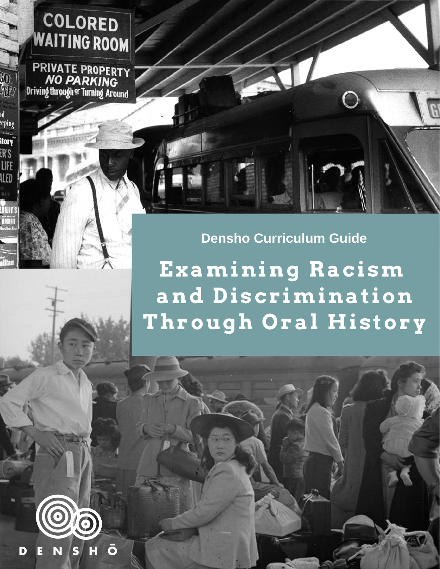# **COLORED**<br>WAITING ROOM

PRIVATE PROPERTY **NO PARKING** Driving through or Turning Around

80

W

<sup>d</sup><br>:eping

story<br>Story

ER'S LIFE ILED

# **Densho Curriculum Guide**

**Examining Racism and Discrimination Through Oral History**

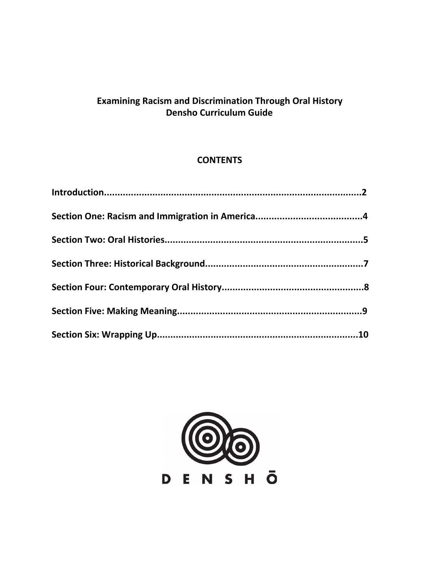# **Examining Racism and Discrimination Through Oral History Densho Curriculum Guide**

# **CONTENTS**

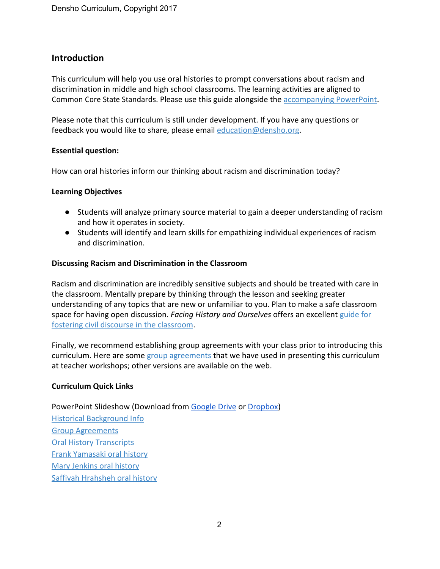#### **Introduction**

This curriculum will help you use oral histories to prompt conversations about racism and discrimination in middle and high school classrooms. The learning activities are aligned to Common Core State Standards. Please use this guide alongside the [accompanying](https://drive.google.com/file/d/0ByhE5BLETilSRVFKYWlKSTU5Q3c/view?usp=sharing) PowerPoint.

Please note that this curriculum is still under development. If you have any questions or feedback you would like to share, please email [education@densho.org.](mailto:education@densho.org)

#### **Essential question:**

How can oral histories inform our thinking about racism and discrimination today?

#### **Learning Objectives**

- Students will analyze primary source material to gain a deeper understanding of racism and how it operates in society.
- Students will identify and learn skills for empathizing individual experiences of racism and discrimination.

#### **Discussing Racism and Discrimination in the Classroom**

Racism and discrimination are incredibly sensitive subjects and should be treated with care in the classroom. Mentally prepare by thinking through the lesson and seeking greater understanding of any topics that are new or unfamiliar to you. Plan to make a safe classroom space for having open discussion. *Facing History and Ourselves* offers an excellent [guide](http://info.facinghistory.org/civil_discourse) for fostering civil discourse in the [classroom.](http://info.facinghistory.org/civil_discourse)

Finally, we recommend establishing group agreements with your class prior to introducing this curriculum. Here are some group [agreements](https://densho.org/wp-content/uploads/2017/08/group-agreements.pdf) that we have used in presenting this curriculum at teacher workshops; other versions are available on the web.

#### **Curriculum Quick Links**

#### PowerPoint Slideshow (Download from [Google](https://drive.google.com/file/d/0ByhE5BLETilSRVFKYWlKSTU5Q3c/view?usp=sharing) Drive or [Dropbox\)](https://www.dropbox.com/s/e8h43vyugpr23w4/Connections%20Online%20Curriculum_final.pptx?dl=0)

Historical [Background](https://densho.org/wp-content/uploads/2017/08/historical-background-3.pdf) Info Group [Agreements](https://densho.org/wp-content/uploads/2017/08/group-agreements.pdf) **Oral History [Transcripts](https://densho.org/wp-content/uploads/2017/08/transcripts.pdf)** Frank [Yamasaki](https://www.youtube.com/watch?v=4jHXF-gY1-I) oral history Mary [Jenkins](https://youtu.be/EGq0fBcnp44) oral history Saffiyah [Hrahsheh](https://www.youtube.com/watch?v=1-qKRftluVc&t=8s) oral history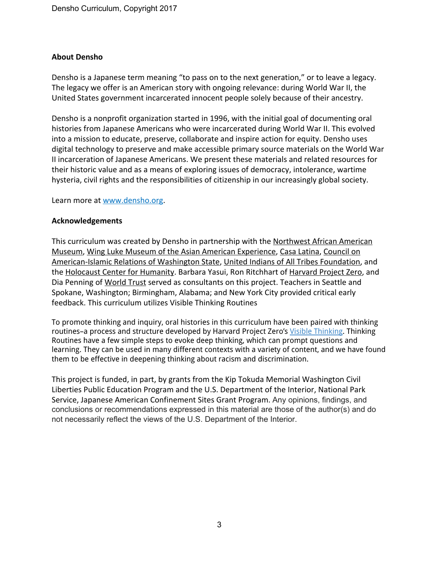#### **About Densho**

Densho is a Japanese term meaning "to pass on to the next generation," or to leave a legacy. The legacy we offer is an American story with ongoing relevance: during World War II, the United States government incarcerated innocent people solely because of their ancestry.

Densho is a nonprofit organization started in 1996, with the initial goal of documenting oral histories from Japanese Americans who were incarcerated during World War II. This evolved into a mission to educate, preserve, collaborate and inspire action for equity. Densho uses digital technology to preserve and make accessible primary source materials on the World War II incarceration of Japanese Americans. We present these materials and related resources for their historic value and as a means of exploring issues of democracy, intolerance, wartime hysteria, civil rights and the responsibilities of citizenship in our increasingly global society.

Learn more at [www.densho.org](http://www.densho.org/).

#### **Acknowledgements**

This curriculum was created by Densho in partnership with the [Northwest](http://www.naamnw.org/) African American [Museum,](http://www.naamnw.org/) Wing Luke Museum of the Asian American [Experience,](http://www.wingluke.org/) Casa [Latina,](http://casa-latina.org/) [Council](http://cairseattle.org/) on [American-Islamic](http://cairseattle.org/) Relations of Washington State, United Indians of All Tribes [Foundation,](http://www.unitedindians.org/) and the [Holocaust](https://www.holocaustcenterseattle.org/) Center for Humanity. Barbara Yasui, Ron Ritchhart of [Harvard](http://www.pz.harvard.edu/) Project Zero, and Dia Penning of [World](https://world-trust.org/) Trust served as consultants on this project. Teachers in Seattle and Spokane, Washington; Birmingham, Alabama; and New York City provided critical early feedback. This curriculum utilizes Visible Thinking Routines

To promote thinking and inquiry, oral histories in this curriculum have been paired with thinking routines–a process and structure developed by Harvard Project Zero's Visible [Thinking.](http://www.visiblethinkingpz.org/VisibleThinking_html_files/03_ThinkingRoutines/03a_ThinkingRoutines.html) Thinking Routines have a few simple steps to evoke deep thinking, which can prompt questions and learning. They can be used in many different contexts with a variety of content, and we have found them to be effective in deepening thinking about racism and discrimination.

This project is funded, in part, by grants from the Kip Tokuda Memorial Washington Civil Liberties Public Education Program and the U.S. Department of the Interior, National Park Service, Japanese American Confinement Sites Grant Program. Any opinions, findings, and conclusions or recommendations expressed in this material are those of the author(s) and do not necessarily reflect the views of the U.S. Department of the Interior.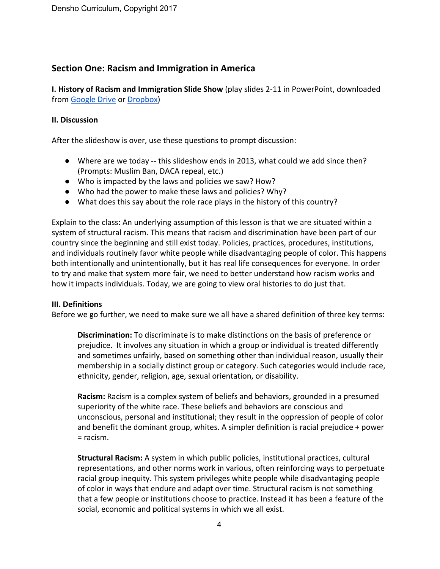# **Section One: Racism and Immigration in America**

**I. History of Racism and Immigration Slide Show** (play slides 2-11 in PowerPoint, downloaded from [Google](https://drive.google.com/file/d/0ByhE5BLETilSRVFKYWlKSTU5Q3c/view?usp=sharing) Drive or [Dropbox\)](https://www.dropbox.com/s/e8h43vyugpr23w4/Connections%20Online%20Curriculum_final.pptx?dl=0)

#### **II. Discussion**

After the slideshow is over, use these questions to prompt discussion:

- Where are we today -- this slideshow ends in 2013, what could we add since then? (Prompts: Muslim Ban, DACA repeal, etc.)
- Who is impacted by the laws and policies we saw? How?
- Who had the power to make these laws and policies? Why?
- What does this say about the role race plays in the history of this country?

Explain to the class: An underlying assumption of this lesson is that we are situated within a system of structural racism. This means that racism and discrimination have been part of our country since the beginning and still exist today. Policies, practices, procedures, institutions, and individuals routinely favor white people while disadvantaging people of color. This happens both intentionally and unintentionally, but it has real life consequences for everyone. In order to try and make that system more fair, we need to better understand how racism works and how it impacts individuals. Today, we are going to view oral histories to do just that.

#### **III. Definitions**

Before we go further, we need to make sure we all have a shared definition of three key terms:

**Discrimination:** To discriminate is to make distinctions on the basis of preference or prejudice. It involves any situation in which a group or individual is treated differently and sometimes unfairly, based on something other than individual reason, usually their membership in a socially distinct group or category. Such categories would include race, ethnicity, gender, religion, age, sexual orientation, or disability.

**Racism:** Racism is a complex system of beliefs and behaviors, grounded in a presumed superiority of the white race. These beliefs and behaviors are conscious and unconscious, personal and institutional; they result in the oppression of people of color and benefit the dominant group, whites. A simpler definition is racial prejudice + power = racism.

**Structural Racism:** A system in which public policies, institutional practices, cultural representations, and other norms work in various, often reinforcing ways to perpetuate racial group inequity. This system privileges white people while disadvantaging people of color in ways that endure and adapt over time. Structural racism is not something that a few people or institutions choose to practice. Instead it has been a feature of the social, economic and political systems in which we all exist.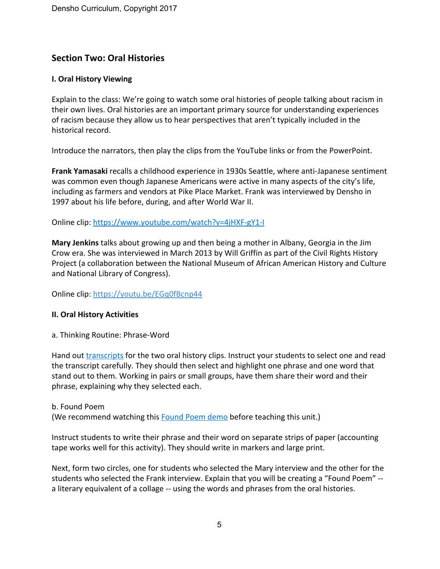# **Section Two: Oral Histories**

#### **I. Oral History Viewing**

Explain to the class: We're going to watch some oral histories of people talking about racism in their own lives. Oral histories are an important primary source for understanding experiences of racism because they allow us to hear perspectives that aren't typically included in the historical record.

Introduce the narrators, then play the clips from the YouTube links or from the PowerPoint.

**Frank Yamasaki** recalls a childhood experience in 1930s Seattle, where anti-Japanese sentiment was common even though Japanese Americans were active in many aspects of the city's life, including as farmers and vendors at Pike Place Market. Frank was interviewed by Densho in 1997 about his life before, during, and after World War II.

Online clip: <https://www.youtube.com/watch?v=4jHXF-gY1-I>

**Mary Jenkins** talks about growing up and then being a mother in Albany, Georgia in the Jim Crow era. She was interviewed in March 2013 by Will Griffin as part of the Civil Rights History Project (a collaboration between the National Museum of African American History and Culture and National Library of Congress).

Online clip: <https://youtu.be/EGq0fBcnp44>

#### **II. Oral History Activities**

a. Thinking Routine: Phrase-Word

Hand out [transcripts](https://densho.org/wp-content/uploads/2017/08/transcripts.pdf) for the two oral history clips. Instruct your students to select one and read the transcript carefully. They should then select and highlight one phrase and one word that stand out to them. Working in pairs or small groups, have them share their word and their phrase, explaining why they selected each.

b. Found Poem (We recommend watching this **[Found](https://www.teachingchannel.org/videos/creating-found-poems-lesson) Poem demo before teaching this unit.)** 

Instruct students to write their phrase and their word on separate strips of paper (accounting tape works well for this activity). They should write in markers and large print.

Next, form two circles, one for students who selected the Mary interview and the other for the students who selected the Frank interview. Explain that you will be creating a "Found Poem" - a literary equivalent of a collage -- using the words and phrases from the oral histories.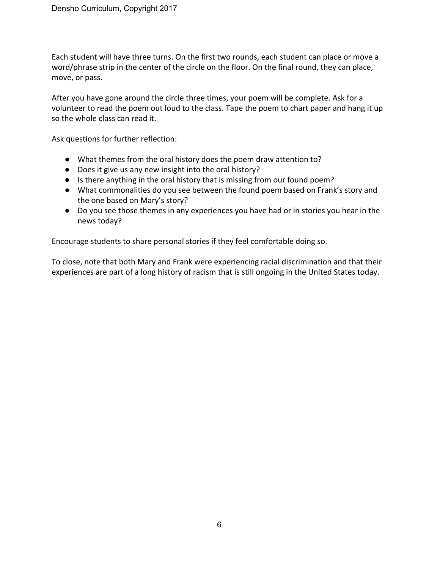Each student will have three turns. On the first two rounds, each student can place or move a word/phrase strip in the center of the circle on the floor. On the final round, they can place, move, or pass.

After you have gone around the circle three times, your poem will be complete. Ask for a volunteer to read the poem out loud to the class. Tape the poem to chart paper and hang it up so the whole class can read it.

Ask questions for further reflection:

- What themes from the oral history does the poem draw attention to?
- Does it give us any new insight into the oral history?
- Is there anything in the oral history that is missing from our found poem?
- What commonalities do you see between the found poem based on Frank's story and the one based on Mary's story?
- Do you see those themes in any experiences you have had or in stories you hear in the news today?

Encourage students to share personal stories if they feel comfortable doing so.

To close, note that both Mary and Frank were experiencing racial discrimination and that their experiences are part of a long history of racism that is still ongoing in the United States today.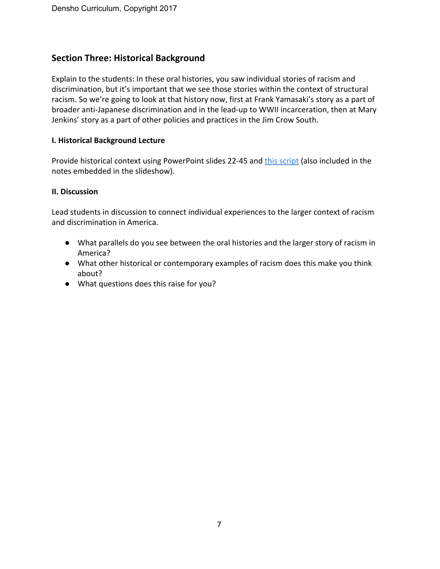# **Section Three: Historical Background**

Explain to the students: In these oral histories, you saw individual stories of racism and discrimination, but it's important that we see those stories within the context of structural racism. So we're going to look at that history now, first at Frank Yamasaki's story as a part of broader anti-Japanese discrimination and in the lead-up to WWII incarceration, then at Mary Jenkins' story as a part of other policies and practices in the Jim Crow South.

#### **I. Historical Background Lecture**

Provide historical context using PowerPoint slides 22-45 and this [script](https://densho.org/wp-content/uploads/2017/08/historical-background-3.pdf) (also included in the notes embedded in the slideshow).

#### **II. Discussion**

Lead students in discussion to connect individual experiences to the larger context of racism and discrimination in America.

- What parallels do you see between the oral histories and the larger story of racism in America?
- What other historical or contemporary examples of racism does this make you think about?
- What questions does this raise for you?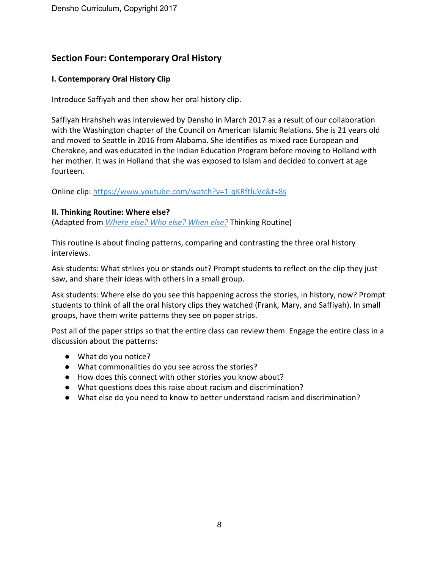# **Section Four: Contemporary Oral History**

#### **I. Contemporary Oral History Clip**

Introduce Saffiyah and then show her oral history clip.

Saffiyah Hrahsheh was interviewed by Densho in March 2017 as a result of our collaboration with the Washington chapter of the Council on American Islamic Relations. She is 21 years old and moved to Seattle in 2016 from Alabama. She identifies as mixed race European and Cherokee, and was educated in the Indian Education Program before moving to Holland with her mother. It was in Holland that she was exposed to Islam and decided to convert at age fourteen.

Online clip: <https://www.youtube.com/watch?v=1-qKRftluVc&t=8s>

#### **II. Thinking Routine: Where else?**

(Adapted from *[Where](https://drive.google.com/file/d/0ByhE5BLETilSSWEtRGpPVFlwN1NOeElGczNaWExXcXVybXhz/view?usp=sharing) else? Who else? When else?* Thinking Routine)

This routine is about finding patterns, comparing and contrasting the three oral history interviews.

Ask students: What strikes you or stands out? Prompt students to reflect on the clip they just saw, and share their ideas with others in a small group.

Ask students: Where else do you see this happening across the stories, in history, now? Prompt students to think of all the oral history clips they watched (Frank, Mary, and Saffiyah). In small groups, have them write patterns they see on paper strips.

Post all of the paper strips so that the entire class can review them. Engage the entire class in a discussion about the patterns:

- What do you notice?
- What commonalities do you see across the stories?
- How does this connect with other stories you know about?
- What questions does this raise about racism and discrimination?
- What else do you need to know to better understand racism and discrimination?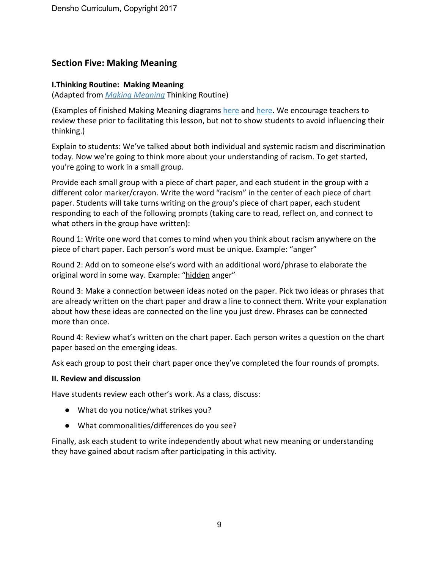# **Section Five: Making Meaning**

#### **I.Thinking Routine: Making Meaning**

(Adapted from *Making [Meaning](https://drive.google.com/file/d/0ByhE5BLETilSWW82OXVnU3pVSjhiS1UxcnVscEppeWhVTUVR/view?usp=sharing)* Thinking Routine)

(Examples of finished Making Meaning diagrams [here](https://drive.google.com/file/d/0ByhE5BLETilSYVVPTkYyQnF5ZGg4WUowYWZLTnhqaDdKWW5v/view?usp=sharing) and [here.](https://drive.google.com/file/d/0ByhE5BLETilSTklNOW8ybDVLLWFTSnpCbXFpaFdnb0ZKZVhF/view?usp=sharing) We encourage teachers to review these prior to facilitating this lesson, but not to show students to avoid influencing their thinking.)

Explain to students: We've talked about both individual and systemic racism and discrimination today. Now we're going to think more about your understanding of racism. To get started, you're going to work in a small group.

Provide each small group with a piece of chart paper, and each student in the group with a different color marker/crayon. Write the word "racism" in the center of each piece of chart paper. Students will take turns writing on the group's piece of chart paper, each student responding to each of the following prompts (taking care to read, reflect on, and connect to what others in the group have written):

Round 1: Write one word that comes to mind when you think about racism anywhere on the piece of chart paper. Each person's word must be unique. Example: "anger"

Round 2: Add on to someone else's word with an additional word/phrase to elaborate the original word in some way. Example: "hidden anger"

Round 3: Make a connection between ideas noted on the paper. Pick two ideas or phrases that are already written on the chart paper and draw a line to connect them. Write your explanation about how these ideas are connected on the line you just drew. Phrases can be connected more than once.

Round 4: Review what's written on the chart paper. Each person writes a question on the chart paper based on the emerging ideas.

Ask each group to post their chart paper once they've completed the four rounds of prompts.

#### **II. Review and discussion**

Have students review each other's work. As a class, discuss:

- What do you notice/what strikes you?
- What commonalities/differences do you see?

Finally, ask each student to write independently about what new meaning or understanding they have gained about racism after participating in this activity.